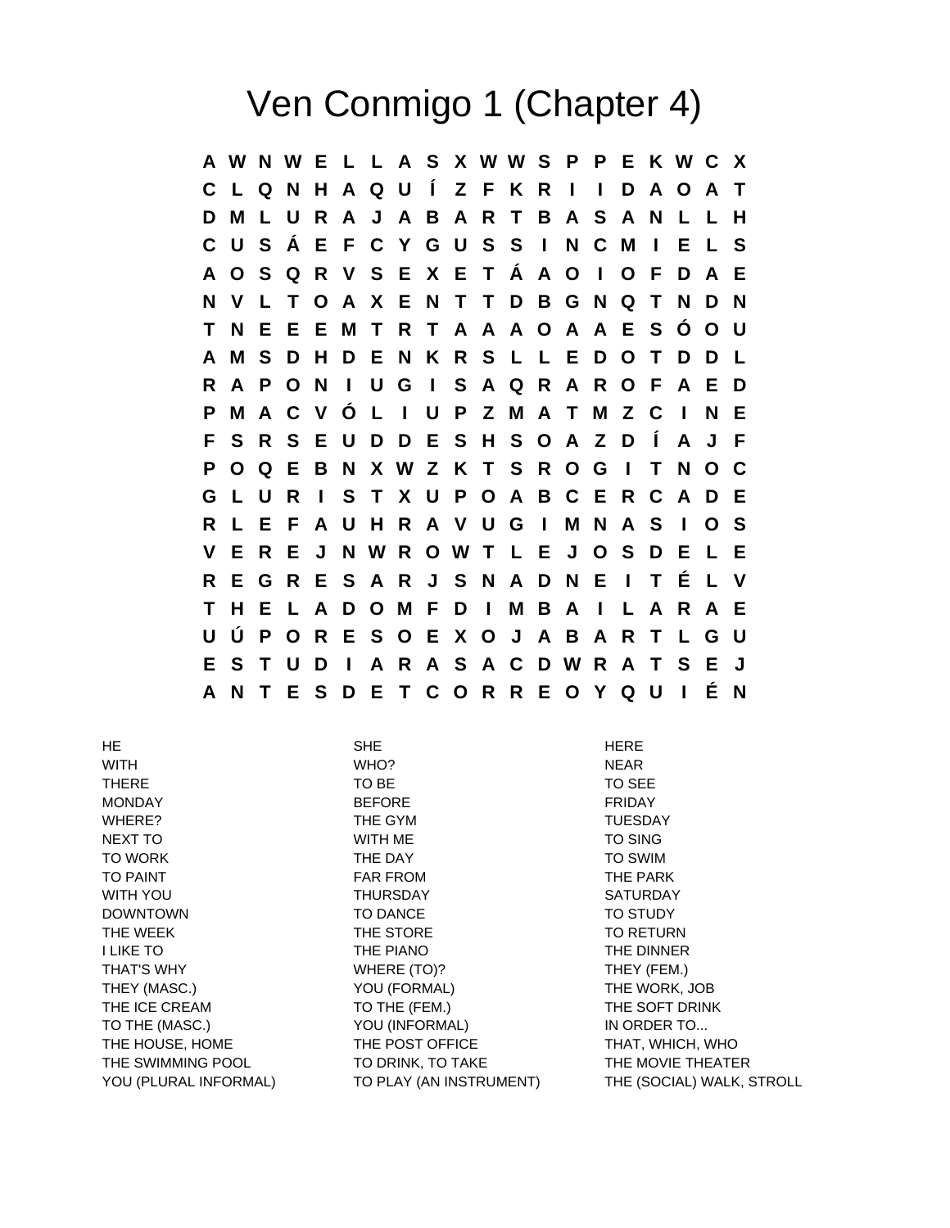## Ven Conmigo 1 (Chapter 4)

**A W N W E L L A S X W W S P P E K W C X C L Q N H A Q U Í Z F K R I I D A O A T D M L U R A J A B A R T B A S A N L L H C U S Á E F C Y G U S S I N C M I E L S A O S Q R V S E X E T Á A O I O F D A E N V L T O A X E N T T D B G N Q T N D N T N E E E M T R T A A A O A A E S Ó O U A M S D H D E N K R S L L E D O T D D L R A P O N I U G I S A Q R A R O F A E D P M A C V Ó L I U P Z M A T M Z C I N E F S R S E U D D E S H S O A Z D Í A J F P O Q E B N X W Z K T S R O G I T N O C G L U R I S T X U P O A B C E R C A D E R L E F A U H R A V U G I M N A S I O S V E R E J N W R O W T L E J O S D E L E R E G R E S A R J S N A D N E I T É L V T H E L A D O M F D I M B A I L A R A E U Ú P O R E S O E X O J A B A R T L G U E S T U D I A R A S A C D W R A T S E J A N T E S D E T C O R R E O Y Q U I É N**

HE SHE HERE WITH **WHO?** NEAR WHO? THERE TO BE TO BE TO SEE MONDAY BEFORE FRIDAY WHERE? THE GYM THE GYM NEXT TO NOTE TO SING TO SING TO SING TO SING TO WORK **THE DAY** THE DAY TO SWIM TO PAINT TO PAINT THE PARK FROM THE PARK WITH YOU GALL THURSDAY THURSDAY SATURDAY DOWNTOWN TO DANCE TO DANCE TO STUDY THE WEEK THE STORE THE STORE TO RETURN I LIKE TO THE PIANO THE DINNER THAT'S WHY **THEY (FEM.)** WHERE (TO)? THEY (FEM.) THEY (MASC.) YOU (FORMAL) THE WORK, JOB THE ICE CREAM TO THE (FEM.) THE SOFT DRINK TO THE (MASC.) YOU (INFORMAL) IN ORDER TO... THE HOUSE, HOME THE POST OFFICE THAT, WHICH, WHO THE SWIMMING POOL TO DRINK, TO TAKE THE MOVIE THEATER YOU (PLURAL INFORMAL) TO PLAY (AN INSTRUMENT) THE (SOCIAL) WALK, STROLL